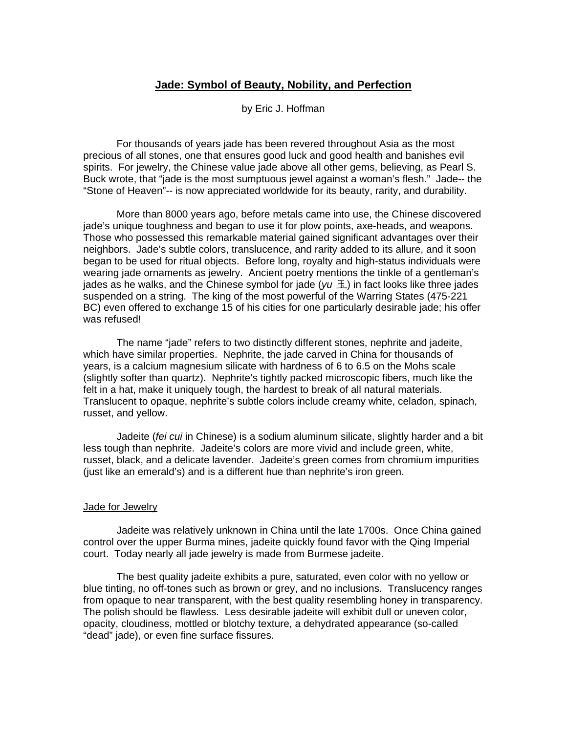## **Jade: Symbol of Beauty, Nobility, and Perfection**

by Eric J. Hoffman

For thousands of years jade has been revered throughout Asia as the most precious of all stones, one that ensures good luck and good health and banishes evil spirits. For jewelry, the Chinese value jade above all other gems, believing, as Pearl S. Buck wrote, that "jade is the most sumptuous jewel against a woman's flesh." Jade-- the "Stone of Heaven"-- is now appreciated worldwide for its beauty, rarity, and durability.

 More than 8000 years ago, before metals came into use, the Chinese discovered jade's unique toughness and began to use it for plow points, axe-heads, and weapons. Those who possessed this remarkable material gained significant advantages over their neighbors. Jade's subtle colors, translucence, and rarity added to its allure, and it soon began to be used for ritual objects. Before long, royalty and high-status individuals were wearing jade ornaments as jewelry. Ancient poetry mentions the tinkle of a gentleman's jades as he walks, and the Chinese symbol for jade ( $yu \pm$ ) in fact looks like three jades suspended on a string. The king of the most powerful of the Warring States (475-221 BC) even offered to exchange 15 of his cities for one particularly desirable jade; his offer was refused!

 The name "jade" refers to two distinctly different stones, nephrite and jadeite, which have similar properties. Nephrite, the jade carved in China for thousands of years, is a calcium magnesium silicate with hardness of 6 to 6.5 on the Mohs scale (slightly softer than quartz). Nephrite's tightly packed microscopic fibers, much like the felt in a hat, make it uniquely tough, the hardest to break of all natural materials. Translucent to opaque, nephrite's subtle colors include creamy white, celadon, spinach, russet, and yellow.

 Jadeite (*fei cui* in Chinese) is a sodium aluminum silicate, slightly harder and a bit less tough than nephrite. Jadeite's colors are more vivid and include green, white, russet, black, and a delicate lavender. Jadeite's green comes from chromium impurities (just like an emerald's) and is a different hue than nephrite's iron green.

## Jade for Jewelry

Jadeite was relatively unknown in China until the late 1700s. Once China gained control over the upper Burma mines, jadeite quickly found favor with the Qing Imperial court. Today nearly all jade jewelry is made from Burmese jadeite.

The best quality jadeite exhibits a pure, saturated, even color with no yellow or blue tinting, no off-tones such as brown or grey, and no inclusions. Translucency ranges from opaque to near transparent, with the best quality resembling honey in transparency. The polish should be flawless. Less desirable jadeite will exhibit dull or uneven color, opacity, cloudiness, mottled or blotchy texture, a dehydrated appearance (so-called "dead" jade), or even fine surface fissures.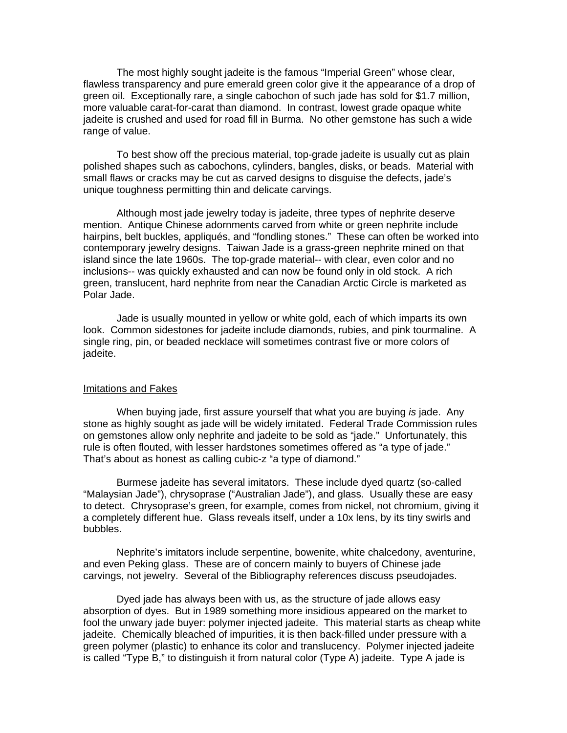The most highly sought jadeite is the famous "Imperial Green" whose clear, flawless transparency and pure emerald green color give it the appearance of a drop of green oil. Exceptionally rare, a single cabochon of such jade has sold for \$1.7 million, more valuable carat-for-carat than diamond. In contrast, lowest grade opaque white jadeite is crushed and used for road fill in Burma. No other gemstone has such a wide range of value.

To best show off the precious material, top-grade jadeite is usually cut as plain polished shapes such as cabochons, cylinders, bangles, disks, or beads. Material with small flaws or cracks may be cut as carved designs to disguise the defects, jade's unique toughness permitting thin and delicate carvings.

Although most jade jewelry today is jadeite, three types of nephrite deserve mention. Antique Chinese adornments carved from white or green nephrite include hairpins, belt buckles, appliqués, and "fondling stones." These can often be worked into contemporary jewelry designs. Taiwan Jade is a grass-green nephrite mined on that island since the late 1960s. The top-grade material-- with clear, even color and no inclusions-- was quickly exhausted and can now be found only in old stock. A rich green, translucent, hard nephrite from near the Canadian Arctic Circle is marketed as Polar Jade.

 Jade is usually mounted in yellow or white gold, each of which imparts its own look. Common sidestones for jadeite include diamonds, rubies, and pink tourmaline. A single ring, pin, or beaded necklace will sometimes contrast five or more colors of jadeite.

## Imitations and Fakes

 When buying jade, first assure yourself that what you are buying *is* jade. Any stone as highly sought as jade will be widely imitated. Federal Trade Commission rules on gemstones allow only nephrite and jadeite to be sold as "jade." Unfortunately, this rule is often flouted, with lesser hardstones sometimes offered as "a type of jade." That's about as honest as calling cubic-z "a type of diamond."

Burmese jadeite has several imitators. These include dyed quartz (so-called "Malaysian Jade"), chrysoprase ("Australian Jade"), and glass. Usually these are easy to detect. Chrysoprase's green, for example, comes from nickel, not chromium, giving it a completely different hue. Glass reveals itself, under a 10x lens, by its tiny swirls and bubbles.

Nephrite's imitators include serpentine, bowenite, white chalcedony, aventurine, and even Peking glass. These are of concern mainly to buyers of Chinese jade carvings, not jewelry. Several of the Bibliography references discuss pseudojades.

Dyed jade has always been with us, as the structure of jade allows easy absorption of dyes. But in 1989 something more insidious appeared on the market to fool the unwary jade buyer: polymer injected jadeite. This material starts as cheap white jadeite. Chemically bleached of impurities, it is then back-filled under pressure with a green polymer (plastic) to enhance its color and translucency. Polymer injected jadeite is called "Type B," to distinguish it from natural color (Type A) jadeite. Type A jade is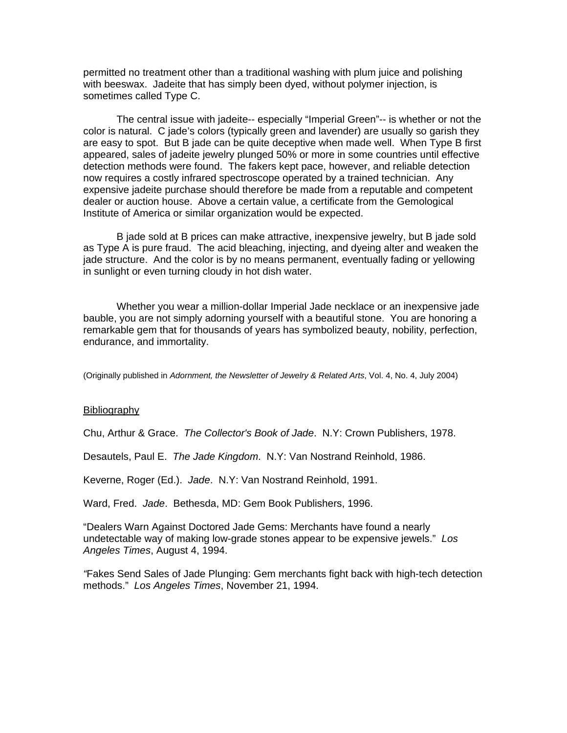permitted no treatment other than a traditional washing with plum juice and polishing with beeswax. Jadeite that has simply been dyed, without polymer injection, is sometimes called Type C.

The central issue with jadeite-- especially "Imperial Green"-- is whether or not the color is natural. C jade's colors (typically green and lavender) are usually so garish they are easy to spot. But B jade can be quite deceptive when made well. When Type B first appeared, sales of jadeite jewelry plunged 50% or more in some countries until effective detection methods were found. The fakers kept pace, however, and reliable detection now requires a costly infrared spectroscope operated by a trained technician. Any expensive jadeite purchase should therefore be made from a reputable and competent dealer or auction house. Above a certain value, a certificate from the Gemological Institute of America or similar organization would be expected.

B jade sold at B prices can make attractive, inexpensive jewelry, but B jade sold as Type A is pure fraud. The acid bleaching, injecting, and dyeing alter and weaken the jade structure. And the color is by no means permanent, eventually fading or yellowing in sunlight or even turning cloudy in hot dish water.

Whether you wear a million-dollar Imperial Jade necklace or an inexpensive jade bauble, you are not simply adorning yourself with a beautiful stone. You are honoring a remarkable gem that for thousands of years has symbolized beauty, nobility, perfection, endurance, and immortality.

(Originally published in *Adornment, the Newsletter of Jewelry & Related Arts*, Vol. 4, No. 4, July 2004)

## Bibliography

Chu, Arthur & Grace. *The Collector's Book of Jade*. N.Y: Crown Publishers, 1978.

Desautels, Paul E. *The Jade Kingdom*. N.Y: Van Nostrand Reinhold, 1986.

Keverne, Roger (Ed.). *Jade*. N.Y: Van Nostrand Reinhold, 1991.

Ward, Fred. *Jade*. Bethesda, MD: Gem Book Publishers, 1996.

"Dealers Warn Against Doctored Jade Gems: Merchants have found a nearly undetectable way of making low-grade stones appear to be expensive jewels." *Los Angeles Times*, August 4, 1994.

*"*Fakes Send Sales of Jade Plunging: Gem merchants fight back with high-tech detection methods." *Los Angeles Times*, November 21, 1994.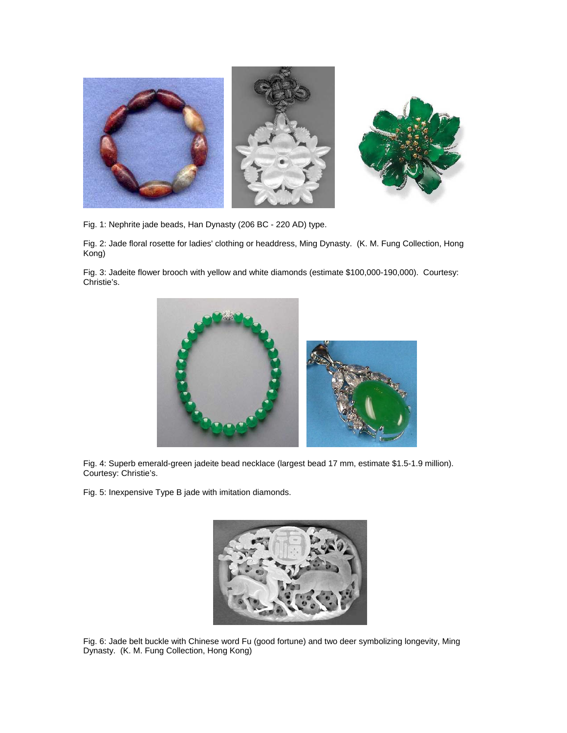

Fig. 1: Nephrite jade beads, Han Dynasty (206 BC - 220 AD) type.

Fig. 2: Jade floral rosette for ladies' clothing or headdress, Ming Dynasty. (K. M. Fung Collection, Hong Kong)

Fig. 3: Jadeite flower brooch with yellow and white diamonds (estimate \$100,000-190,000). Courtesy: Christie's.



Fig. 4: Superb emerald-green jadeite bead necklace (largest bead 17 mm, estimate \$1.5-1.9 million). Courtesy: Christie's.

Fig. 5: Inexpensive Type B jade with imitation diamonds.



Fig. 6: Jade belt buckle with Chinese word Fu (good fortune) and two deer symbolizing longevity, Ming Dynasty. (K. M. Fung Collection, Hong Kong)